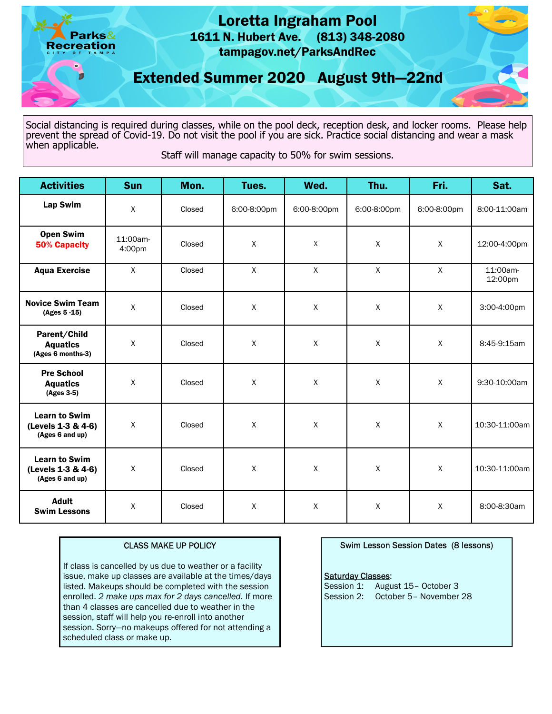

Social distancing is required during classes, while on the pool deck, reception desk, and locker rooms. Please help prevent the spread of Covid-19. Do not visit the pool if you are sick. Practice social distancing and wear a mask when applicable.

Staff will manage capacity to 50% for swim sessions.

| <b>Activities</b>                                             | <b>Sun</b>         | Mon.   | Tues.       | Wed.        | Thu.        | Fri.         | Sat.                |
|---------------------------------------------------------------|--------------------|--------|-------------|-------------|-------------|--------------|---------------------|
| <b>Lap Swim</b>                                               | X                  | Closed | 6:00-8:00pm | 6:00-8:00pm | 6:00-8:00pm | 6:00-8:00pm  | 8:00-11:00am        |
| <b>Open Swim</b><br><b>50% Capacity</b>                       | 11:00am-<br>4:00pm | Closed | Χ           | X           | X           | $\mathsf X$  | 12:00-4:00pm        |
| <b>Aqua Exercise</b>                                          | $\mathsf{X}$       | Closed | X           | X           | X           | X            | 11:00am-<br>12:00pm |
| <b>Novice Swim Team</b><br>(Ages 5-15)                        | X                  | Closed | X           | X           | X           | $\mathsf{X}$ | 3:00-4:00pm         |
| Parent/Child<br><b>Aquatics</b><br>(Ages 6 months-3)          | X                  | Closed | X           | X           | X           | X            | 8:45-9:15am         |
| <b>Pre School</b><br><b>Aquatics</b><br>(Ages 3-5)            | X                  | Closed | Χ           | Χ           | $\mathsf X$ | $\mathsf X$  | 9:30-10:00am        |
| <b>Learn to Swim</b><br>(Levels 1-3 & 4-6)<br>(Ages 6 and up) | X                  | Closed | Χ           | Χ           | X           | $\mathsf X$  | 10:30-11:00am       |
| <b>Learn to Swim</b><br>(Levels 1-3 & 4-6)<br>(Ages 6 and up) | $\sf X$            | Closed | X           | X           | X           | X            | 10:30-11:00am       |
| <b>Adult</b><br><b>Swim Lessons</b>                           | X                  | Closed | Χ           | X           | $\mathsf X$ | $\mathsf X$  | 8:00-8:30am         |

# CLASS MAKE UP POLICY

 If class is cancelled by us due to weather or a facility issue, make up classes are available at the times/days listed. Makeups should be completed with the session enrolled. 2 make ups max for 2 days cancelled. If more than 4 classes are cancelled due to weather in the session, staff will help you re-enroll into another session. Sorry—no makeups offered for not attending a scheduled class or make up.

## Swim Lesson Session Dates (8 lessons)

### **Saturday Classes:**

Session 1: August 15- October 3 Session 2: October 5– November 28